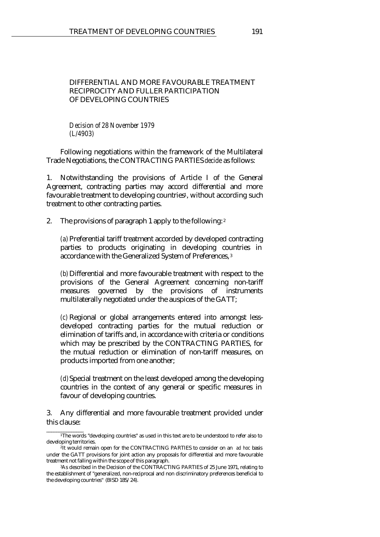## DIFFERENTIAL AND MORE FAVOURABLE TREATMENT RECIPROCITY AND FULLER PARTICIPATION OF DEVELOPING COUNTRIES

*Decision of 28 November 1979 (L/4903)*

Following negotiations within the framework of the Multilateral Trade Negotiations, the CONTRACTING PARTIES *decide* as follows:

1. Notwithstanding the provisions of Article I of the General Agreement, contracting parties may accord differential and more favourable treatment to developing countries<sup>1</sup>, without according such treatment to other contracting parties.

2. The provisions of paragraph 1 apply to the following: <sup>2</sup>

 *(a)*Preferential tariff treatment accorded by developed contracting parties to products originating in developing countries in accordance with the Generalized System of Preferences, <sup>3</sup>

 *(b)*Differential and more favourable treatment with respect to the provisions of the General Agreement concerning non-tariff measures governed by the provisions of instruments multilaterally negotiated under the auspices of the GATT;

 *(c)* Regional or global arrangements entered into amongst lessdeveloped contracting parties for the mutual reduction or elimination of tariffs and, in accordance with criteria or conditions which may be prescribed by the CONTRACTING PARTIES, for the mutual reduction or elimination of non-tariff measures, on products imported from one another;

 *(d)*Special treatment on the least developed among the developing countries in the context of any general or specific measures in favour of developing countries.

3. Any differential and more favourable treatment provided under this clause:

\_\_\_\_\_\_\_\_\_\_\_\_\_\_\_ <sup>1</sup>The words "developing countries" as used in this text are to be understood to refer also to developing territories.

<sup>2</sup> It would remain open for the CONTRACTING PARTIES to consider on an *ad hoc* basis under the GATT provisions for joint action any proposals for differential and more favourable treatment not falling within the scope of this paragraph.

<sup>3</sup>As described in the Decision of the CONTRACTING PARTIES of 25 June 1971, relating to the establishment of "generalized, non-reciprocal and non discriminatory preferences beneficial to the developing countries" (BISD 18S/24).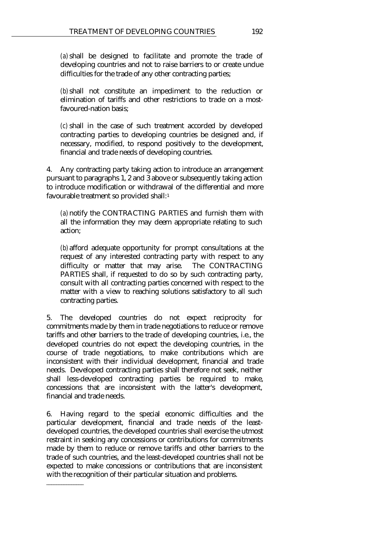*(a)* shall be designed to facilitate and promote the trade of developing countries and not to raise barriers to or create undue difficulties for the trade of any other contracting parties;

 *(b)* shall not constitute an impediment to the reduction or elimination of tariffs and other restrictions to trade on a mostfavoured-nation basis;

 *(c)* shall in the case of such treatment accorded by developed contracting parties to developing countries be designed and, if necessary, modified, to respond positively to the development, financial and trade needs of developing countries.

4. Any contracting party taking action to introduce an arrangement pursuant to paragraphs 1, 2 and 3 above or subsequently taking action to introduce modification or withdrawal of the differential and more favourable treatment so provided shall:<sup>1</sup>

 *(a)*notify the CONTRACTING PARTIES and furnish them with all the information they may deem appropriate relating to such action;

 *(b)* afford adequate opportunity for prompt consultations at the request of any interested contracting party with respect to any difficulty or matter that may arise. The CONTRACTING PARTIES shall, if requested to do so by such contracting party, consult with all contracting parties concerned with respect to the matter with a view to reaching solutions satisfactory to all such contracting parties.

5. The developed countries do not expect reciprocity for commitments made by them in trade negotiations to reduce or remove tariffs and other barriers to the trade of developing countries, i.e., the developed countries do not expect the developing countries, in the course of trade negotiations, to make contributions which are inconsistent with their individual development, financial and trade needs. Developed contracting parties shall therefore not seek, neither shall less-developed contracting parties be required to make, concessions that are inconsistent with the latter's development, financial and trade needs.

6. Having regard to the special economic difficulties and the particular development, financial and trade needs of the leastdeveloped countries, the developed countries shall exercise the utmost restraint in seeking any concessions or contributions for commitments made by them to reduce or remove tariffs and other barriers to the trade of such countries, and the least-developed countries shall not be expected to make concessions or contributions that are inconsistent with the recognition of their particular situation and problems.

\_\_\_\_\_\_\_\_\_\_\_\_\_\_\_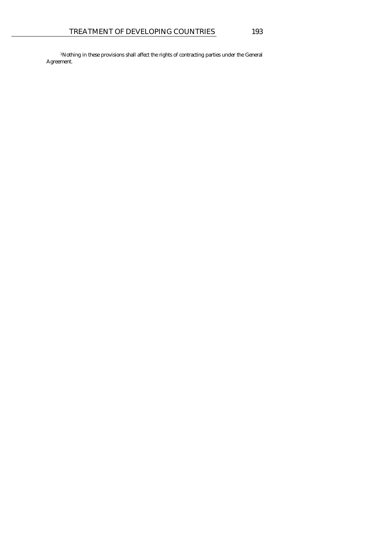<sup>1</sup>Nothing in these provisions shall affect the rights of contracting parties under the General Agreement.